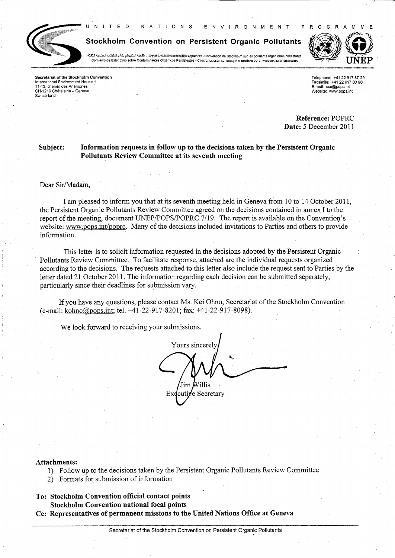

Stockholm Convention on Persistent Organic Pollutants

 $\overline{R}$   $\overline{Q}$ 

 $N$ 

 $N$   $V$ 

M E N T

T I O N S

عَلَيْهِ بَسْكَهِلِم بِضَانِ الشَّوْلِكُ अ्ट्राफ्र्ंट्रे मिर्हार्ग्राङ्क्ष्रेष्ठ्रेष्ठ्रिक्ष्ठ्रिङ्क्ष्र - हिं क्ष्य استكهولم بشأن الشلوثات التصوية الثُلبَدَة<br>Convenio de Estocolmo sobre Contaminantes Orgánicos Persisten



 $\Delta$ 

Secretariat of the Stockholm Convention International Environment House 11-13 chemin des Anémones CH-1219 Châtelaine - Geneva Switzerland

Telephone: +41 22 917 87 29<br>Facsimile: +41 22 917 80 98 E-mail: ssc@pops.int<br>Website: www.pops.int

Reference: POPRC Date: 5 December 2011

R.  $\Omega$ 

#### Subject: Information requests in follow up to the decisions taken by the Persistent Organic Pollutants Review Committee at its seventh meeting

Dear Sir/Madam.

I am pleased to inform you that at its seventh meeting held in Geneva from 10 to 14 October 2011, the Persistent Organic Pollutants Review Committee agreed on the decisions contained in annex I to the report of the meeting, document UNEP/POPS/POPRC.7/19. The report is available on the Convention's website: www.pops.int/poprc. Many of the decisions included invitations to Parties and others to provide information.

This letter is to solicit information requested in the decisions adopted by the Persistent Organic Pollutants Review Committee. To facilitate response, attached are the individual requests organized according to the decisions. The requests attached to this letter also include the request sent to Parties by the letter dated 21 October 2011. The information regarding each decision can be submitted separately, particularly since their deadlines for submission vary.

If you have any questions, please contact Ms. Kei Ohno, Secretariat of the Stockholm Convention (e-mail: kohno@pops.int; tel. +41-22-917-8201; fax: +41-22-917-8098).

We look forward to receiving your submissions.

Yours sincerely Willis Tim I

Executive Secretary

#### **Attachments:**

- 1) Follow up to the decisions taken by the Persistent Organic Pollutants Review Committee
- 2) Formats for submission of information
- To: Stockholm Convention official contact points **Stockholm Convention national focal points**
- Cc: Representatives of permanent missions to the United Nations Office at Geneva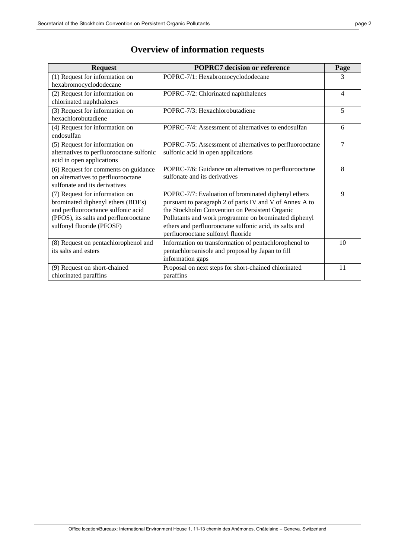| <b>Request</b>                           | <b>POPRC7</b> decision or reference                      | Page |
|------------------------------------------|----------------------------------------------------------|------|
| (1) Request for information on           | POPRC-7/1: Hexabromocyclododecane                        | 3    |
| hexabromocyclododecane                   |                                                          |      |
| (2) Request for information on           | POPRC-7/2: Chlorinated naphthalenes                      | 4    |
| chlorinated naphthalenes                 |                                                          |      |
| (3) Request for information on           | POPRC-7/3: Hexachlorobutadiene                           | 5    |
| hexachlorobutadiene                      |                                                          |      |
| (4) Request for information on           | POPRC-7/4: Assessment of alternatives to endosulfan      | 6    |
| endosulfan                               |                                                          |      |
| (5) Request for information on           | POPRC-7/5: Assessment of alternatives to perfluorooctane | 7    |
| alternatives to perfluorooctane sulfonic | sulfonic acid in open applications                       |      |
| acid in open applications                |                                                          |      |
| (6) Request for comments on guidance     | POPRC-7/6: Guidance on alternatives to perfluorooctane   | 8    |
| on alternatives to perfluorooctane       | sulfonate and its derivatives                            |      |
| sulfonate and its derivatives            |                                                          |      |
| (7) Request for information on           | POPRC-7/7: Evaluation of brominated diphenyl ethers      | 9    |
| brominated diphenyl ethers (BDEs)        | pursuant to paragraph 2 of parts IV and V of Annex A to  |      |
| and perfluorooctance sulfonic acid       | the Stockholm Convention on Persistent Organic           |      |
| (PFOS), its salts and perfluorooctane    | Pollutants and work programme on brominated diphenyl     |      |
| sulfonyl fluoride (PFOSF)                | ethers and perfluorooctane sulfonic acid, its salts and  |      |
|                                          | perfluorooctane sulfonyl fluoride                        |      |
| (8) Request on pentachlorophenol and     | Information on transformation of pentachlorophenol to    | 10   |
| its salts and esters                     | pentachloroanisole and proposal by Japan to fill         |      |
|                                          | information gaps                                         |      |
| (9) Request on short-chained             | Proposal on next steps for short-chained chlorinated     | 11   |
| chlorinated paraffins                    | paraffins                                                |      |

# **Overview of information requests**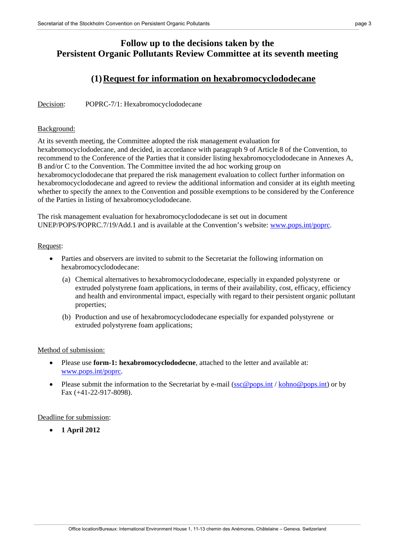## **Follow up to the decisions taken by the Persistent Organic Pollutants Review Committee at its seventh meeting**

### **(1)Request for information on hexabromocyclododecane**

Decision: POPRC-7/1: Hexabromocyclododecane

#### Background:

At its seventh meeting, the Committee adopted the risk management evaluation for hexabromocyclododecane, and decided, in accordance with paragraph 9 of Article 8 of the Convention, to recommend to the Conference of the Parties that it consider listing hexabromocyclododecane in Annexes A, B and/or C to the Convention. The Committee invited the ad hoc working group on hexabromocyclododecane that prepared the risk management evaluation to collect further information on hexabromocyclododecane and agreed to review the additional information and consider at its eighth meeting whether to specify the annex to the Convention and possible exemptions to be considered by the Conference of the Parties in listing of hexabromocyclododecane.

The risk management evaluation for hexabromocyclododecane is set out in document UNEP/POPS/POPRC.7/19/Add.1 and is available at the Convention's website: www.pops.int/poprc.

#### Request:

- Parties and observers are invited to submit to the Secretariat the following information on hexabromocyclododecane:
	- (a) Chemical alternatives to hexabromocyclododecane, especially in expanded polystyrene or extruded polystyrene foam applications, in terms of their availability, cost, efficacy, efficiency and health and environmental impact, especially with regard to their persistent organic pollutant properties;
	- (b) Production and use of hexabromocyclododecane especially for expanded polystyrene or extruded polystyrene foam applications;

#### Method of submission:

- Please use **form-1: hexabromocyclododecne**, attached to the letter and available at: www.pops.int/poprc.
- Please submit the information to the Secretariat by e-mail  $(\sec \omega$  pops.int / kohno@pops.int) or by Fax (+41-22-917-8098).

Deadline for submission:

**1 April 2012**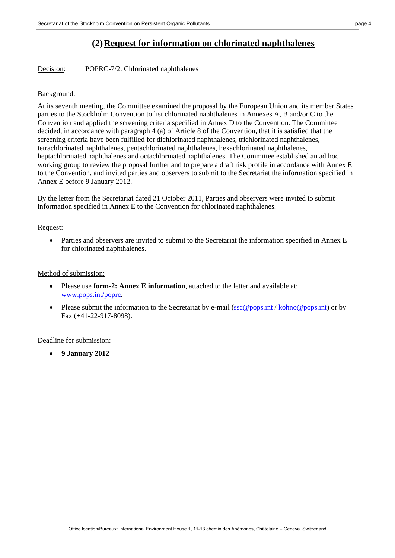### **(2)Request for information on chlorinated naphthalenes**

Decision: POPRC-7/2: Chlorinated naphthalenes

#### Background:

At its seventh meeting, the Committee examined the proposal by the European Union and its member States parties to the Stockholm Convention to list chlorinated naphthalenes in Annexes A, B and/or C to the Convention and applied the screening criteria specified in Annex D to the Convention. The Committee decided, in accordance with paragraph 4 (a) of Article 8 of the Convention, that it is satisfied that the screening criteria have been fulfilled for dichlorinated naphthalenes, trichlorinated naphthalenes, tetrachlorinated naphthalenes, pentachlorinated naphthalenes, hexachlorinated naphthalenes, heptachlorinated naphthalenes and octachlorinated naphthalenes. The Committee established an ad hoc working group to review the proposal further and to prepare a draft risk profile in accordance with Annex E to the Convention, and invited parties and observers to submit to the Secretariat the information specified in Annex E before 9 January 2012.

By the letter from the Secretariat dated 21 October 2011, Parties and observers were invited to submit information specified in Annex E to the Convention for chlorinated naphthalenes.

#### Request:

 Parties and observers are invited to submit to the Secretariat the information specified in Annex E for chlorinated naphthalenes.

#### Method of submission:

- Please use **form-2: Annex E information**, attached to the letter and available at: www.pops.int/poprc.
- Please submit the information to the Secretariat by e-mail  $(\sec@pos.int / \text{kohn@pos.int})$  or by Fax (+41-22-917-8098).

#### Deadline for submission:

**9 January 2012**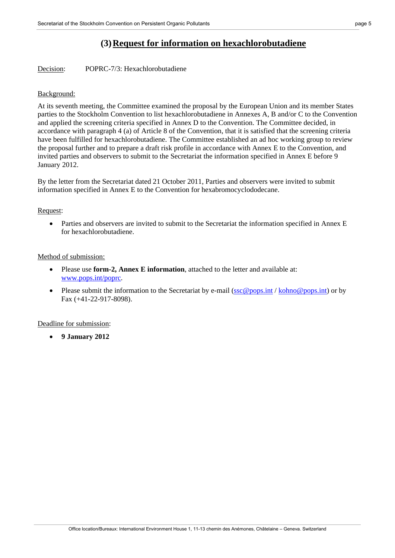### **(3)Request for information on hexachlorobutadiene**

Decision: POPRC-7/3: Hexachlorobutadiene

#### Background:

At its seventh meeting, the Committee examined the proposal by the European Union and its member States parties to the Stockholm Convention to list hexachlorobutadiene in Annexes A, B and/or C to the Convention and applied the screening criteria specified in Annex D to the Convention. The Committee decided, in accordance with paragraph 4 (a) of Article 8 of the Convention, that it is satisfied that the screening criteria have been fulfilled for hexachlorobutadiene. The Committee established an ad hoc working group to review the proposal further and to prepare a draft risk profile in accordance with Annex E to the Convention, and invited parties and observers to submit to the Secretariat the information specified in Annex E before 9 January 2012.

By the letter from the Secretariat dated 21 October 2011, Parties and observers were invited to submit information specified in Annex E to the Convention for hexabromocyclododecane.

#### Request:

 Parties and observers are invited to submit to the Secretariat the information specified in Annex E for hexachlorobutadiene.

#### Method of submission:

- Please use **form-2, Annex E information**, attached to the letter and available at: www.pops.int/poprc.
- Please submit the information to the Secretariat by e-mail ( $\frac{\sec \omega}{\cos \omega}$ ) ( $\frac{\cosh t}{\cosh t}$ ) or by Fax (+41-22-917-8098).

### Deadline for submission:

**9 January 2012**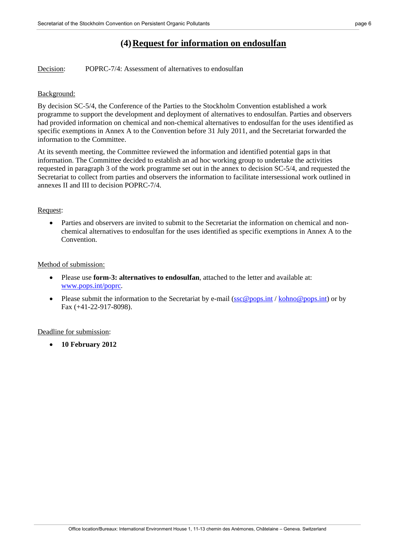### **(4)Request for information on endosulfan**

Decision: POPRC-7/4: Assessment of alternatives to endosulfan

#### Background:

By decision SC-5/4, the Conference of the Parties to the Stockholm Convention established a work programme to support the development and deployment of alternatives to endosulfan. Parties and observers had provided information on chemical and non-chemical alternatives to endosulfan for the uses identified as specific exemptions in Annex A to the Convention before 31 July 2011, and the Secretariat forwarded the information to the Committee.

At its seventh meeting, the Committee reviewed the information and identified potential gaps in that information. The Committee decided to establish an ad hoc working group to undertake the activities requested in paragraph 3 of the work programme set out in the annex to decision SC-5/4, and requested the Secretariat to collect from parties and observers the information to facilitate intersessional work outlined in annexes II and III to decision POPRC-7/4.

#### Request:

 Parties and observers are invited to submit to the Secretariat the information on chemical and nonchemical alternatives to endosulfan for the uses identified as specific exemptions in Annex A to the Convention.

#### Method of submission:

- Please use **form-3: alternatives to endosulfan**, attached to the letter and available at: www.pops.int/poprc.
- Please submit the information to the Secretariat by e-mail ( $\frac{\sec \omega}{\cos \omega}$ ) ( $\frac{\cosh t}{\cosh t}$ ) or by Fax (+41-22-917-8098).

#### Deadline for submission:

**10 February 2012**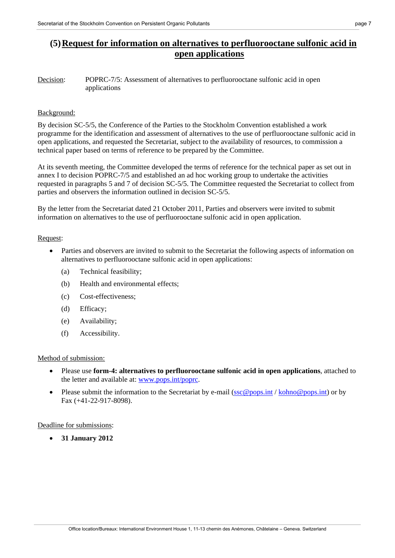### **(5)Request for information on alternatives to perfluorooctane sulfonic acid in open applications**

Decision: POPRC-7/5: Assessment of alternatives to perfluorooctane sulfonic acid in open applications

#### Background:

By decision SC-5/5, the Conference of the Parties to the Stockholm Convention established a work programme for the identification and assessment of alternatives to the use of perfluorooctane sulfonic acid in open applications, and requested the Secretariat, subject to the availability of resources, to commission a technical paper based on terms of reference to be prepared by the Committee.

At its seventh meeting, the Committee developed the terms of reference for the technical paper as set out in annex I to decision POPRC-7/5 and established an ad hoc working group to undertake the activities requested in paragraphs 5 and 7 of decision SC-5/5. The Committee requested the Secretariat to collect from parties and observers the information outlined in decision SC-5/5.

By the letter from the Secretariat dated 21 October 2011, Parties and observers were invited to submit information on alternatives to the use of perfluorooctane sulfonic acid in open application.

#### Request:

- Parties and observers are invited to submit to the Secretariat the following aspects of information on alternatives to perfluorooctane sulfonic acid in open applications:
	- (a) Technical feasibility;
	- (b) Health and environmental effects;
	- (c) Cost-effectiveness;
	- (d) Efficacy;
	- (e) Availability;
	- (f) Accessibility.

#### Method of submission:

- Please use **form-4: alternatives to perfluorooctane sulfonic acid in open applications**, attached to the letter and available at: www.pops.int/poprc.
- Please submit the information to the Secretariat by e-mail ( $\sec \omega$  pops.int / kohno@pops.int) or by Fax (+41-22-917-8098).

#### Deadline for submissions:

**31 January 2012**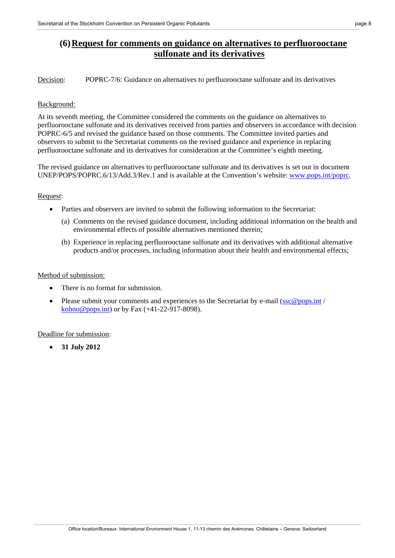### **(6)Request for comments on guidance on alternatives to perfluorooctane sulfonate and its derivatives**

Decision: POPRC-7/6: Guidance on alternatives to perfluorooctane sulfonate and its derivatives

#### Background:

At its seventh meeting, the Committee considered the comments on the guidance on alternatives to perfluorooctane sulfonate and its derivatives received from parties and observers in accordance with decision POPRC-6/5 and revised the guidance based on those comments. The Committee invited parties and observers to submit to the Secretariat comments on the revised guidance and experience in replacing perfluorooctane sulfonate and its derivatives for consideration at the Committee's eighth meeting.

The revised guidance on alternatives to perfluorooctane sulfonate and its derivatives is set out in document UNEP/POPS/POPRC.6/13/Add.3/Rev.1 and is available at the Convention's website: www.pops.int/poprc.

#### Request:

- Parties and observers are invited to submit the following information to the Secretariat:
	- (a) Comments on the revised guidance document, including additional information on the health and environmental effects of possible alternatives mentioned therein;
	- (b) Experience in replacing perfluorooctane sulfonate and its derivatives with additional alternative products and/or processes, including information about their health and environmental effects;

#### Method of submission:

- There is no format for submission
- Please submit your comments and experiences to the Secretariat by e-mail ( $\sec \omega$  pops.int / kohno@pops.int) or by Fax  $(+41-22-917-8098)$ .

### Deadline for submission:

**31 July 2012**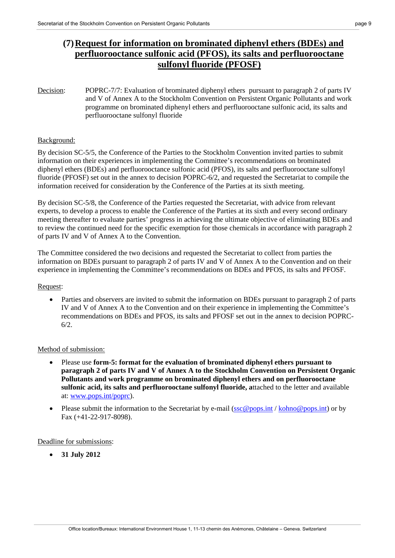### **(7)Request for information on brominated diphenyl ethers (BDEs) and perfluorooctance sulfonic acid (PFOS), its salts and perfluorooctane sulfonyl fluoride (PFOSF)**

Decision: POPRC-7/7: Evaluation of brominated diphenyl ethers pursuant to paragraph 2 of parts IV and V of Annex A to the Stockholm Convention on Persistent Organic Pollutants and work programme on brominated diphenyl ethers and perfluorooctane sulfonic acid, its salts and perfluorooctane sulfonyl fluoride

#### Background:

By decision SC-5/5, the Conference of the Parties to the Stockholm Convention invited parties to submit information on their experiences in implementing the Committee's recommendations on brominated diphenyl ethers (BDEs) and perfluorooctance sulfonic acid (PFOS), its salts and perfluorooctane sulfonyl fluoride (PFOSF) set out in the annex to decision POPRC-6/2, and requested the Secretariat to compile the information received for consideration by the Conference of the Parties at its sixth meeting.

By decision SC-5/8, the Conference of the Parties requested the Secretariat, with advice from relevant experts, to develop a process to enable the Conference of the Parties at its sixth and every second ordinary meeting thereafter to evaluate parties' progress in achieving the ultimate objective of eliminating BDEs and to review the continued need for the specific exemption for those chemicals in accordance with paragraph 2 of parts IV and V of Annex A to the Convention.

The Committee considered the two decisions and requested the Secretariat to collect from parties the information on BDEs pursuant to paragraph 2 of parts IV and V of Annex A to the Convention and on their experience in implementing the Committee's recommendations on BDEs and PFOS, its salts and PFOSF.

### Request:

 Parties and observers are invited to submit the information on BDEs pursuant to paragraph 2 of parts IV and V of Annex A to the Convention and on their experience in implementing the Committee's recommendations on BDEs and PFOS, its salts and PFOSF set out in the annex to decision POPRC-6/2.

#### Method of submission:

- Please use **form-5: format for the evaluation of brominated diphenyl ethers pursuant to paragraph 2 of parts IV and V of Annex A to the Stockholm Convention on Persistent Organic Pollutants and work programme on brominated diphenyl ethers and on perfluorooctane sulfonic acid, its salts and perfluorooctane sulfonyl fluoride, a**ttached to the letter and available at: www.pops.int/poprc).
- Please submit the information to the Secretariat by e-mail ( $\sec \omega$  pops.int / kohno $\omega$  pops.int) or by Fax (+41-22-917-8098).

Deadline for submissions:

**31 July 2012**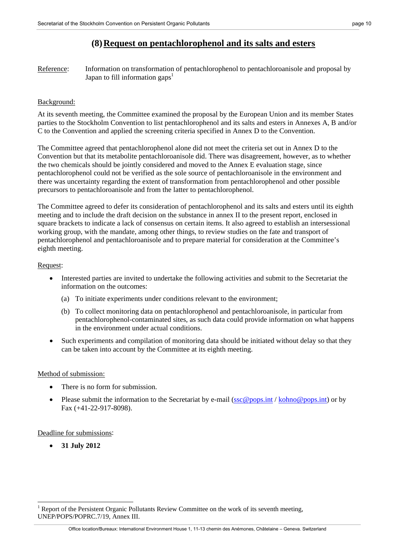### **(8)Request on pentachlorophenol and its salts and esters**

Reference: Information on transformation of pentachlorophenol to pentachloroanisole and proposal by Japan to fill information gaps<sup>1</sup>

#### Background:

At its seventh meeting, the Committee examined the proposal by the European Union and its member States parties to the Stockholm Convention to list pentachlorophenol and its salts and esters in Annexes A, B and/or C to the Convention and applied the screening criteria specified in Annex D to the Convention.

The Committee agreed that pentachlorophenol alone did not meet the criteria set out in Annex D to the Convention but that its metabolite pentachloroanisole did. There was disagreement, however, as to whether the two chemicals should be jointly considered and moved to the Annex E evaluation stage, since pentachlorophenol could not be verified as the sole source of pentachloroanisole in the environment and there was uncertainty regarding the extent of transformation from pentachlorophenol and other possible precursors to pentachloroanisole and from the latter to pentachlorophenol.

The Committee agreed to defer its consideration of pentachlorophenol and its salts and esters until its eighth meeting and to include the draft decision on the substance in annex II to the present report, enclosed in square brackets to indicate a lack of consensus on certain items. It also agreed to establish an intersessional working group, with the mandate, among other things, to review studies on the fate and transport of pentachlorophenol and pentachloroanisole and to prepare material for consideration at the Committee's eighth meeting.

#### Request:

- Interested parties are invited to undertake the following activities and submit to the Secretariat the information on the outcomes:
	- (a) To initiate experiments under conditions relevant to the environment;
	- (b) To collect monitoring data on pentachlorophenol and pentachloroanisole, in particular from pentachlorophenol-contaminated sites, as such data could provide information on what happens in the environment under actual conditions.
- Such experiments and compilation of monitoring data should be initiated without delay so that they can be taken into account by the Committee at its eighth meeting.

#### Method of submission:

- There is no form for submission.
- Please submit the information to the Secretariat by e-mail ( $\sec \omega$  pops.int / kohno@pops.int) or by Fax (+41-22-917-8098).

#### Deadline for submissions:

**31 July 2012** 

 $\overline{\phantom{a}}$ 1 Report of the Persistent Organic Pollutants Review Committee on the work of its seventh meeting, UNEP/POPS/POPRC.7/19, Annex III.